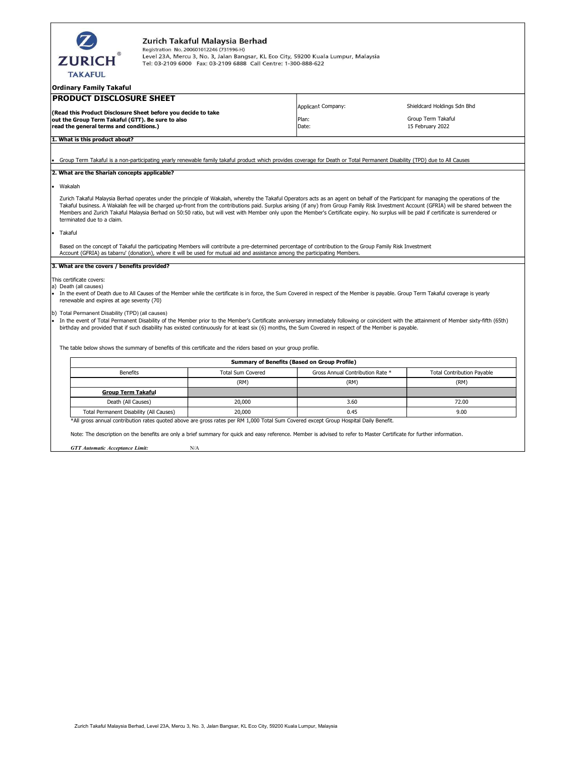| Zurich Takaful Malaysia Berhad<br>Registration No. 200601012246 (731996-H)<br>Level 23A, Mercu 3, No. 3, Jalan Bangsar, KL Eco City, 59200 Kuala Lumpur, Malaysia<br><b>ZURICH</b><br>Tel: 03-2109 6000 Fax: 03-2109 6888 Call Centre: 1-300-888-622<br><b>TAKAFUL</b><br><b>PRODUCT DISCLOSURE SHEET</b><br><b>Applicant Company:</b><br>Shieldcard Holdings Sdn Bhd<br>(Read this Product Disclosure Sheet before you decide to take<br>Group Term Takaful<br>Plan:<br>out the Group Term Takaful (GTT). Be sure to also<br>read the general terms and conditions.)<br>Date:<br>15 February 2022<br>1. What is this product about?<br>Group Term Takaful is a non-participating vearly renewable family takaful product which provides coverage for Death or Total Permanent Disability (TPD) due to All Causes<br>2. What are the Shariah concepts applicable?<br>Wakalah<br>Zurich Takaful Malaysia Berhad operates under the principle of Wakalah, whereby the Takaful Operators acts as an agent on behalf of the Participant for managing the operations of the<br>Takaful business. A Wakalah fee will be charged up-front from the contributions paid. Surplus arising (if any) from Group Family Risk Investment Account (GFRIA) will be shared between the<br>Members and Zurich Takaful Malaysia Berhad on 50:50 ratio, but will vest with Member only upon the Member's Certificate expiry. No surplus will be paid if certificate is surrendered or<br>terminated due to a claim.<br>Takaful<br>Based on the concept of Takaful the participating Members will contribute a pre-determined percentage of contribution to the Group Family Risk Investment<br>Account (GFRIA) as tabarru' (donation), where it will be used for mutual aid and assistance among the participating Members.<br>3. What are the covers / benefits provided?<br>This certificate covers:<br>a) Death (all causes)<br>In the event of Death due to All Causes of the Member while the certificate is in force, the Sum Covered in respect of the Member is payable. Group Term Takaful coverage is yearly<br>renewable and expires at age seventy (70)<br>(b) Total Permanent Disability (TPD) (all causes)<br>In the event of Total Permanent Disability of the Member prior to the Member's Certificate anniversary immediately following or coincident with the attainment of Member sixty-fifth (65th)<br>birthday and provided that if such disability has existed continuously for at least six (6) months, the Sum Covered in respect of the Member is payable.<br>The table below shows the summary of benefits of this certificate and the riders based on your group profile.<br><b>Summary of Benefits (Based on Group Profile)</b><br><b>Benefits</b><br><b>Total Sum Covered</b><br>Gross Annual Contribution Rate *<br><b>Total Contribution Payable</b><br>(RM)<br>(RM)<br>(RM)<br><b>Group Term Takaful</b><br>Death (All Causes)<br>20,000<br>3.60<br>72.00 |                                         |        |      |      |
|-----------------------------------------------------------------------------------------------------------------------------------------------------------------------------------------------------------------------------------------------------------------------------------------------------------------------------------------------------------------------------------------------------------------------------------------------------------------------------------------------------------------------------------------------------------------------------------------------------------------------------------------------------------------------------------------------------------------------------------------------------------------------------------------------------------------------------------------------------------------------------------------------------------------------------------------------------------------------------------------------------------------------------------------------------------------------------------------------------------------------------------------------------------------------------------------------------------------------------------------------------------------------------------------------------------------------------------------------------------------------------------------------------------------------------------------------------------------------------------------------------------------------------------------------------------------------------------------------------------------------------------------------------------------------------------------------------------------------------------------------------------------------------------------------------------------------------------------------------------------------------------------------------------------------------------------------------------------------------------------------------------------------------------------------------------------------------------------------------------------------------------------------------------------------------------------------------------------------------------------------------------------------------------------------------------------------------------------------------------------------------------------------------------------------------------------------------------------------------------------------------------------------------------------------------------------------------------------------------------------------------------------------------------------------------------------------------------------------------------------------------------------------------------------------------------------------------------------------------------------------------------------------------------------------------------------------------------------------|-----------------------------------------|--------|------|------|
|                                                                                                                                                                                                                                                                                                                                                                                                                                                                                                                                                                                                                                                                                                                                                                                                                                                                                                                                                                                                                                                                                                                                                                                                                                                                                                                                                                                                                                                                                                                                                                                                                                                                                                                                                                                                                                                                                                                                                                                                                                                                                                                                                                                                                                                                                                                                                                                                                                                                                                                                                                                                                                                                                                                                                                                                                                                                                                                                                                       |                                         |        |      |      |
|                                                                                                                                                                                                                                                                                                                                                                                                                                                                                                                                                                                                                                                                                                                                                                                                                                                                                                                                                                                                                                                                                                                                                                                                                                                                                                                                                                                                                                                                                                                                                                                                                                                                                                                                                                                                                                                                                                                                                                                                                                                                                                                                                                                                                                                                                                                                                                                                                                                                                                                                                                                                                                                                                                                                                                                                                                                                                                                                                                       | Ordinary Family Takaful                 |        |      |      |
|                                                                                                                                                                                                                                                                                                                                                                                                                                                                                                                                                                                                                                                                                                                                                                                                                                                                                                                                                                                                                                                                                                                                                                                                                                                                                                                                                                                                                                                                                                                                                                                                                                                                                                                                                                                                                                                                                                                                                                                                                                                                                                                                                                                                                                                                                                                                                                                                                                                                                                                                                                                                                                                                                                                                                                                                                                                                                                                                                                       |                                         |        |      |      |
|                                                                                                                                                                                                                                                                                                                                                                                                                                                                                                                                                                                                                                                                                                                                                                                                                                                                                                                                                                                                                                                                                                                                                                                                                                                                                                                                                                                                                                                                                                                                                                                                                                                                                                                                                                                                                                                                                                                                                                                                                                                                                                                                                                                                                                                                                                                                                                                                                                                                                                                                                                                                                                                                                                                                                                                                                                                                                                                                                                       |                                         |        |      |      |
|                                                                                                                                                                                                                                                                                                                                                                                                                                                                                                                                                                                                                                                                                                                                                                                                                                                                                                                                                                                                                                                                                                                                                                                                                                                                                                                                                                                                                                                                                                                                                                                                                                                                                                                                                                                                                                                                                                                                                                                                                                                                                                                                                                                                                                                                                                                                                                                                                                                                                                                                                                                                                                                                                                                                                                                                                                                                                                                                                                       |                                         |        |      |      |
|                                                                                                                                                                                                                                                                                                                                                                                                                                                                                                                                                                                                                                                                                                                                                                                                                                                                                                                                                                                                                                                                                                                                                                                                                                                                                                                                                                                                                                                                                                                                                                                                                                                                                                                                                                                                                                                                                                                                                                                                                                                                                                                                                                                                                                                                                                                                                                                                                                                                                                                                                                                                                                                                                                                                                                                                                                                                                                                                                                       |                                         |        |      |      |
|                                                                                                                                                                                                                                                                                                                                                                                                                                                                                                                                                                                                                                                                                                                                                                                                                                                                                                                                                                                                                                                                                                                                                                                                                                                                                                                                                                                                                                                                                                                                                                                                                                                                                                                                                                                                                                                                                                                                                                                                                                                                                                                                                                                                                                                                                                                                                                                                                                                                                                                                                                                                                                                                                                                                                                                                                                                                                                                                                                       |                                         |        |      |      |
|                                                                                                                                                                                                                                                                                                                                                                                                                                                                                                                                                                                                                                                                                                                                                                                                                                                                                                                                                                                                                                                                                                                                                                                                                                                                                                                                                                                                                                                                                                                                                                                                                                                                                                                                                                                                                                                                                                                                                                                                                                                                                                                                                                                                                                                                                                                                                                                                                                                                                                                                                                                                                                                                                                                                                                                                                                                                                                                                                                       |                                         |        |      |      |
|                                                                                                                                                                                                                                                                                                                                                                                                                                                                                                                                                                                                                                                                                                                                                                                                                                                                                                                                                                                                                                                                                                                                                                                                                                                                                                                                                                                                                                                                                                                                                                                                                                                                                                                                                                                                                                                                                                                                                                                                                                                                                                                                                                                                                                                                                                                                                                                                                                                                                                                                                                                                                                                                                                                                                                                                                                                                                                                                                                       |                                         |        |      |      |
|                                                                                                                                                                                                                                                                                                                                                                                                                                                                                                                                                                                                                                                                                                                                                                                                                                                                                                                                                                                                                                                                                                                                                                                                                                                                                                                                                                                                                                                                                                                                                                                                                                                                                                                                                                                                                                                                                                                                                                                                                                                                                                                                                                                                                                                                                                                                                                                                                                                                                                                                                                                                                                                                                                                                                                                                                                                                                                                                                                       |                                         |        |      |      |
|                                                                                                                                                                                                                                                                                                                                                                                                                                                                                                                                                                                                                                                                                                                                                                                                                                                                                                                                                                                                                                                                                                                                                                                                                                                                                                                                                                                                                                                                                                                                                                                                                                                                                                                                                                                                                                                                                                                                                                                                                                                                                                                                                                                                                                                                                                                                                                                                                                                                                                                                                                                                                                                                                                                                                                                                                                                                                                                                                                       |                                         |        |      |      |
|                                                                                                                                                                                                                                                                                                                                                                                                                                                                                                                                                                                                                                                                                                                                                                                                                                                                                                                                                                                                                                                                                                                                                                                                                                                                                                                                                                                                                                                                                                                                                                                                                                                                                                                                                                                                                                                                                                                                                                                                                                                                                                                                                                                                                                                                                                                                                                                                                                                                                                                                                                                                                                                                                                                                                                                                                                                                                                                                                                       |                                         |        |      |      |
|                                                                                                                                                                                                                                                                                                                                                                                                                                                                                                                                                                                                                                                                                                                                                                                                                                                                                                                                                                                                                                                                                                                                                                                                                                                                                                                                                                                                                                                                                                                                                                                                                                                                                                                                                                                                                                                                                                                                                                                                                                                                                                                                                                                                                                                                                                                                                                                                                                                                                                                                                                                                                                                                                                                                                                                                                                                                                                                                                                       |                                         |        |      |      |
|                                                                                                                                                                                                                                                                                                                                                                                                                                                                                                                                                                                                                                                                                                                                                                                                                                                                                                                                                                                                                                                                                                                                                                                                                                                                                                                                                                                                                                                                                                                                                                                                                                                                                                                                                                                                                                                                                                                                                                                                                                                                                                                                                                                                                                                                                                                                                                                                                                                                                                                                                                                                                                                                                                                                                                                                                                                                                                                                                                       |                                         |        |      |      |
|                                                                                                                                                                                                                                                                                                                                                                                                                                                                                                                                                                                                                                                                                                                                                                                                                                                                                                                                                                                                                                                                                                                                                                                                                                                                                                                                                                                                                                                                                                                                                                                                                                                                                                                                                                                                                                                                                                                                                                                                                                                                                                                                                                                                                                                                                                                                                                                                                                                                                                                                                                                                                                                                                                                                                                                                                                                                                                                                                                       |                                         |        |      |      |
|                                                                                                                                                                                                                                                                                                                                                                                                                                                                                                                                                                                                                                                                                                                                                                                                                                                                                                                                                                                                                                                                                                                                                                                                                                                                                                                                                                                                                                                                                                                                                                                                                                                                                                                                                                                                                                                                                                                                                                                                                                                                                                                                                                                                                                                                                                                                                                                                                                                                                                                                                                                                                                                                                                                                                                                                                                                                                                                                                                       |                                         |        |      |      |
|                                                                                                                                                                                                                                                                                                                                                                                                                                                                                                                                                                                                                                                                                                                                                                                                                                                                                                                                                                                                                                                                                                                                                                                                                                                                                                                                                                                                                                                                                                                                                                                                                                                                                                                                                                                                                                                                                                                                                                                                                                                                                                                                                                                                                                                                                                                                                                                                                                                                                                                                                                                                                                                                                                                                                                                                                                                                                                                                                                       |                                         |        |      |      |
|                                                                                                                                                                                                                                                                                                                                                                                                                                                                                                                                                                                                                                                                                                                                                                                                                                                                                                                                                                                                                                                                                                                                                                                                                                                                                                                                                                                                                                                                                                                                                                                                                                                                                                                                                                                                                                                                                                                                                                                                                                                                                                                                                                                                                                                                                                                                                                                                                                                                                                                                                                                                                                                                                                                                                                                                                                                                                                                                                                       |                                         |        |      |      |
|                                                                                                                                                                                                                                                                                                                                                                                                                                                                                                                                                                                                                                                                                                                                                                                                                                                                                                                                                                                                                                                                                                                                                                                                                                                                                                                                                                                                                                                                                                                                                                                                                                                                                                                                                                                                                                                                                                                                                                                                                                                                                                                                                                                                                                                                                                                                                                                                                                                                                                                                                                                                                                                                                                                                                                                                                                                                                                                                                                       |                                         |        |      |      |
|                                                                                                                                                                                                                                                                                                                                                                                                                                                                                                                                                                                                                                                                                                                                                                                                                                                                                                                                                                                                                                                                                                                                                                                                                                                                                                                                                                                                                                                                                                                                                                                                                                                                                                                                                                                                                                                                                                                                                                                                                                                                                                                                                                                                                                                                                                                                                                                                                                                                                                                                                                                                                                                                                                                                                                                                                                                                                                                                                                       |                                         |        |      |      |
|                                                                                                                                                                                                                                                                                                                                                                                                                                                                                                                                                                                                                                                                                                                                                                                                                                                                                                                                                                                                                                                                                                                                                                                                                                                                                                                                                                                                                                                                                                                                                                                                                                                                                                                                                                                                                                                                                                                                                                                                                                                                                                                                                                                                                                                                                                                                                                                                                                                                                                                                                                                                                                                                                                                                                                                                                                                                                                                                                                       |                                         |        |      |      |
|                                                                                                                                                                                                                                                                                                                                                                                                                                                                                                                                                                                                                                                                                                                                                                                                                                                                                                                                                                                                                                                                                                                                                                                                                                                                                                                                                                                                                                                                                                                                                                                                                                                                                                                                                                                                                                                                                                                                                                                                                                                                                                                                                                                                                                                                                                                                                                                                                                                                                                                                                                                                                                                                                                                                                                                                                                                                                                                                                                       |                                         |        |      |      |
|                                                                                                                                                                                                                                                                                                                                                                                                                                                                                                                                                                                                                                                                                                                                                                                                                                                                                                                                                                                                                                                                                                                                                                                                                                                                                                                                                                                                                                                                                                                                                                                                                                                                                                                                                                                                                                                                                                                                                                                                                                                                                                                                                                                                                                                                                                                                                                                                                                                                                                                                                                                                                                                                                                                                                                                                                                                                                                                                                                       |                                         |        |      |      |
|                                                                                                                                                                                                                                                                                                                                                                                                                                                                                                                                                                                                                                                                                                                                                                                                                                                                                                                                                                                                                                                                                                                                                                                                                                                                                                                                                                                                                                                                                                                                                                                                                                                                                                                                                                                                                                                                                                                                                                                                                                                                                                                                                                                                                                                                                                                                                                                                                                                                                                                                                                                                                                                                                                                                                                                                                                                                                                                                                                       |                                         |        |      |      |
|                                                                                                                                                                                                                                                                                                                                                                                                                                                                                                                                                                                                                                                                                                                                                                                                                                                                                                                                                                                                                                                                                                                                                                                                                                                                                                                                                                                                                                                                                                                                                                                                                                                                                                                                                                                                                                                                                                                                                                                                                                                                                                                                                                                                                                                                                                                                                                                                                                                                                                                                                                                                                                                                                                                                                                                                                                                                                                                                                                       |                                         |        |      |      |
|                                                                                                                                                                                                                                                                                                                                                                                                                                                                                                                                                                                                                                                                                                                                                                                                                                                                                                                                                                                                                                                                                                                                                                                                                                                                                                                                                                                                                                                                                                                                                                                                                                                                                                                                                                                                                                                                                                                                                                                                                                                                                                                                                                                                                                                                                                                                                                                                                                                                                                                                                                                                                                                                                                                                                                                                                                                                                                                                                                       |                                         |        |      |      |
|                                                                                                                                                                                                                                                                                                                                                                                                                                                                                                                                                                                                                                                                                                                                                                                                                                                                                                                                                                                                                                                                                                                                                                                                                                                                                                                                                                                                                                                                                                                                                                                                                                                                                                                                                                                                                                                                                                                                                                                                                                                                                                                                                                                                                                                                                                                                                                                                                                                                                                                                                                                                                                                                                                                                                                                                                                                                                                                                                                       |                                         |        |      |      |
|                                                                                                                                                                                                                                                                                                                                                                                                                                                                                                                                                                                                                                                                                                                                                                                                                                                                                                                                                                                                                                                                                                                                                                                                                                                                                                                                                                                                                                                                                                                                                                                                                                                                                                                                                                                                                                                                                                                                                                                                                                                                                                                                                                                                                                                                                                                                                                                                                                                                                                                                                                                                                                                                                                                                                                                                                                                                                                                                                                       |                                         |        |      |      |
|                                                                                                                                                                                                                                                                                                                                                                                                                                                                                                                                                                                                                                                                                                                                                                                                                                                                                                                                                                                                                                                                                                                                                                                                                                                                                                                                                                                                                                                                                                                                                                                                                                                                                                                                                                                                                                                                                                                                                                                                                                                                                                                                                                                                                                                                                                                                                                                                                                                                                                                                                                                                                                                                                                                                                                                                                                                                                                                                                                       |                                         |        |      |      |
|                                                                                                                                                                                                                                                                                                                                                                                                                                                                                                                                                                                                                                                                                                                                                                                                                                                                                                                                                                                                                                                                                                                                                                                                                                                                                                                                                                                                                                                                                                                                                                                                                                                                                                                                                                                                                                                                                                                                                                                                                                                                                                                                                                                                                                                                                                                                                                                                                                                                                                                                                                                                                                                                                                                                                                                                                                                                                                                                                                       |                                         |        |      |      |
|                                                                                                                                                                                                                                                                                                                                                                                                                                                                                                                                                                                                                                                                                                                                                                                                                                                                                                                                                                                                                                                                                                                                                                                                                                                                                                                                                                                                                                                                                                                                                                                                                                                                                                                                                                                                                                                                                                                                                                                                                                                                                                                                                                                                                                                                                                                                                                                                                                                                                                                                                                                                                                                                                                                                                                                                                                                                                                                                                                       |                                         |        |      |      |
|                                                                                                                                                                                                                                                                                                                                                                                                                                                                                                                                                                                                                                                                                                                                                                                                                                                                                                                                                                                                                                                                                                                                                                                                                                                                                                                                                                                                                                                                                                                                                                                                                                                                                                                                                                                                                                                                                                                                                                                                                                                                                                                                                                                                                                                                                                                                                                                                                                                                                                                                                                                                                                                                                                                                                                                                                                                                                                                                                                       | Total Permanent Disability (All Causes) | 20,000 | 0.45 | 9.00 |

\*All gross annual contribution rates quoted above are gross rates per RM 1,000 Total Sum Covered except Group Hospital Daily Benefit.

Note: The description on the benefits are only a brief summary for quick and easy reference. Member is advised to refer to Master Certificate for further information.

GTT Automatic Acceptance Limit: N/A